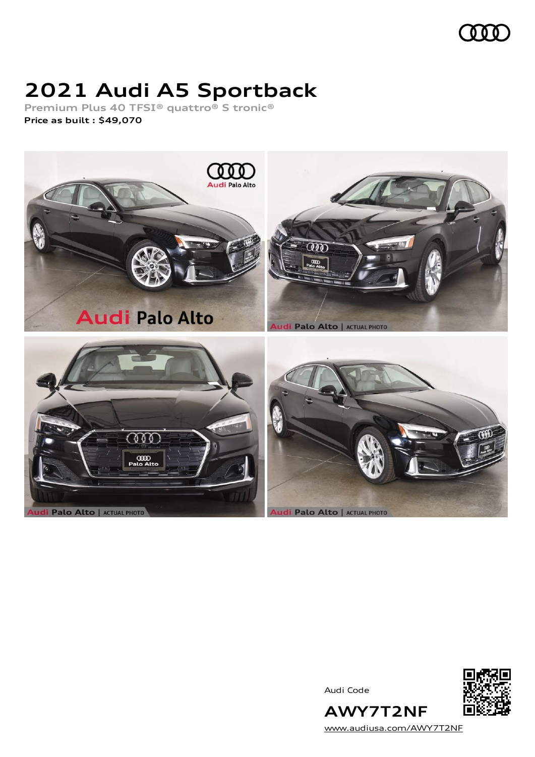

# **2021 Audi A5 Sportback**

**Premium Plus 40 TFSI® quattro® S tronic® Price as built [:](#page-8-0) \$49,070**



Audi Code



[www.audiusa.com/AWY7T2NF](https://www.audiusa.com/AWY7T2NF)

**AWY7T2NF**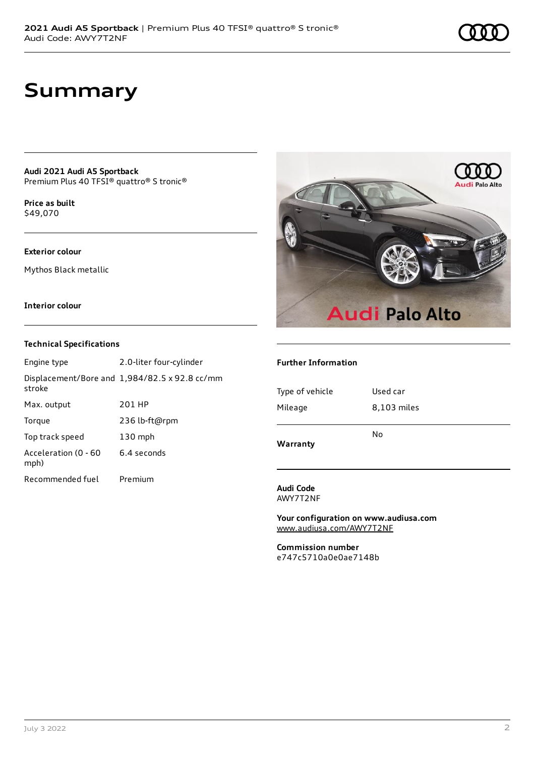## **Summary**

**Audi 2021 Audi A5 Sportback** Premium Plus 40 TFSI® quattro® S tronic®

**Price as buil[t](#page-8-0)** \$49,070

### **Exterior colour**

Mythos Black metallic

### **Interior colour**

### **Technical Specifications**

| Engine type                  | 2.0-liter four-cylinder                       |
|------------------------------|-----------------------------------------------|
| stroke                       | Displacement/Bore and 1,984/82.5 x 92.8 cc/mm |
| Max. output                  | 201 HP                                        |
| Torque                       | 236 lb-ft@rpm                                 |
| Top track speed              | $130$ mph                                     |
| Acceleration (0 - 60<br>mph) | 6.4 seconds                                   |
| Recommended fuel             | Premium                                       |



### **Further Information**

| Warranty        | No          |
|-----------------|-------------|
| Mileage         | 8,103 miles |
| Type of vehicle | Used car    |
|                 |             |

**Audi Code** AWY7T2NF

**Your configuration on www.audiusa.com** [www.audiusa.com/AWY7T2NF](https://www.audiusa.com/AWY7T2NF)

**Commission number** e747c5710a0e0ae7148b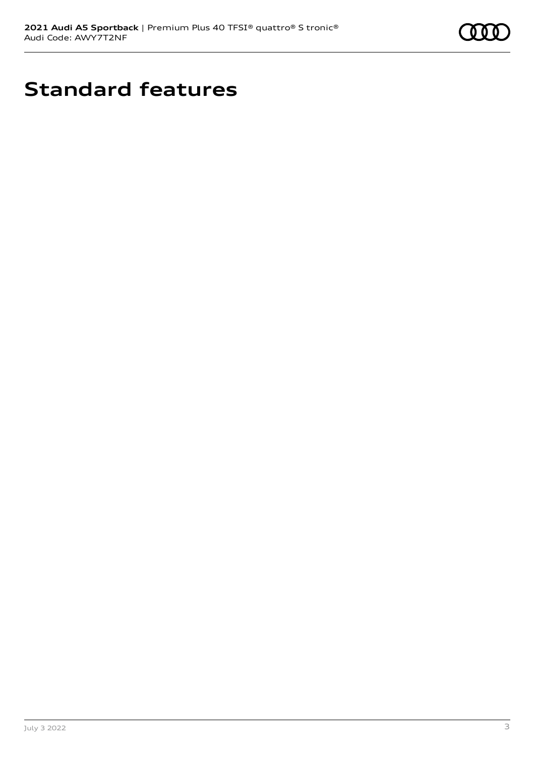

# **Standard features**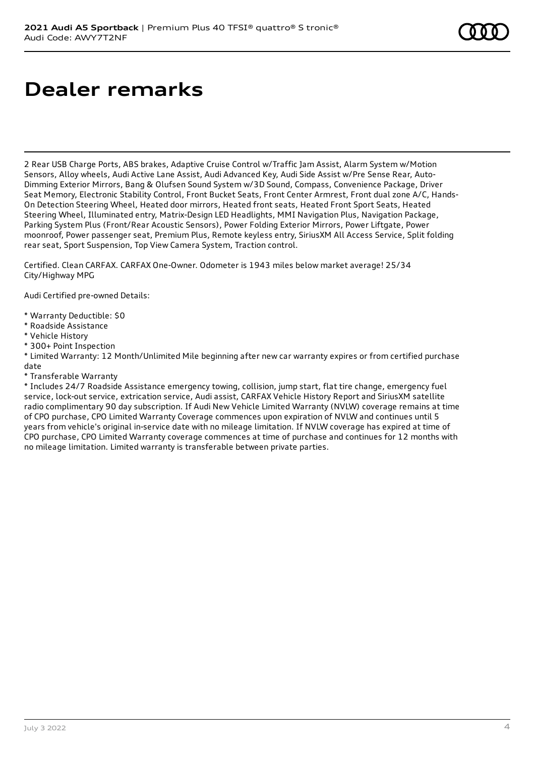# **Dealer remarks**

2 Rear USB Charge Ports, ABS brakes, Adaptive Cruise Control w/Traffic Jam Assist, Alarm System w/Motion Sensors, Alloy wheels, Audi Active Lane Assist, Audi Advanced Key, Audi Side Assist w/Pre Sense Rear, Auto-Dimming Exterior Mirrors, Bang & Olufsen Sound System w/3D Sound, Compass, Convenience Package, Driver Seat Memory, Electronic Stability Control, Front Bucket Seats, Front Center Armrest, Front dual zone A/C, Hands-On Detection Steering Wheel, Heated door mirrors, Heated front seats, Heated Front Sport Seats, Heated Steering Wheel, Illuminated entry, Matrix-Design LED Headlights, MMI Navigation Plus, Navigation Package, Parking System Plus (Front/Rear Acoustic Sensors), Power Folding Exterior Mirrors, Power Liftgate, Power moonroof, Power passenger seat, Premium Plus, Remote keyless entry, SiriusXM All Access Service, Split folding rear seat, Sport Suspension, Top View Camera System, Traction control.

Certified. Clean CARFAX. CARFAX One-Owner. Odometer is 1943 miles below market average! 25/34 City/Highway MPG

Audi Certified pre-owned Details:

- \* Warranty Deductible: \$0
- \* Roadside Assistance
- \* Vehicle History
- \* 300+ Point Inspection

\* Limited Warranty: 12 Month/Unlimited Mile beginning after new car warranty expires or from certified purchase date

\* Transferable Warranty

\* Includes 24/7 Roadside Assistance emergency towing, collision, jump start, flat tire change, emergency fuel service, lock-out service, extrication service, Audi assist, CARFAX Vehicle History Report and SiriusXM satellite radio complimentary 90 day subscription. If Audi New Vehicle Limited Warranty (NVLW) coverage remains at time of CPO purchase, CPO Limited Warranty Coverage commences upon expiration of NVLW and continues until 5 years from vehicle's original in-service date with no mileage limitation. If NVLW coverage has expired at time of CPO purchase, CPO Limited Warranty coverage commences at time of purchase and continues for 12 months with no mileage limitation. Limited warranty is transferable between private parties.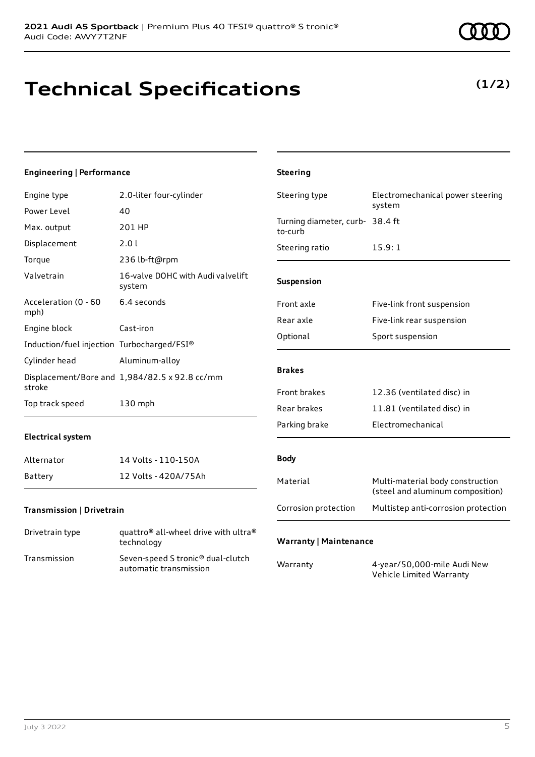## **Technical Specifications**

### **Engineering | Performance**

| Engine type                                | 2.0-liter four-cylinder                                                    | Steering type                              | Electromechanical power steering<br>system                           |
|--------------------------------------------|----------------------------------------------------------------------------|--------------------------------------------|----------------------------------------------------------------------|
| Power Level                                | 40                                                                         |                                            |                                                                      |
| Max. output                                | 201 HP                                                                     | Turning diameter, curb- 38.4 ft<br>to-curb |                                                                      |
| Displacement                               | 2.0 l                                                                      | Steering ratio                             | 15.9:1                                                               |
| Torque                                     | 236 lb-ft@rpm                                                              |                                            |                                                                      |
| Valvetrain                                 | 16-valve DOHC with Audi valvelift<br>system                                | Suspension                                 |                                                                      |
| Acceleration (0 - 60<br>mph)               | 6.4 seconds                                                                | Front axle                                 | Five-link front suspension                                           |
| Engine block                               | Cast-iron                                                                  | Rear axle                                  | Five-link rear suspension                                            |
|                                            |                                                                            | Optional                                   | Sport suspension                                                     |
| Induction/fuel injection Turbocharged/FSI® |                                                                            |                                            |                                                                      |
| Cylinder head                              | Aluminum-alloy                                                             |                                            |                                                                      |
| stroke                                     | Displacement/Bore and 1,984/82.5 x 92.8 cc/mm                              | <b>Brakes</b>                              |                                                                      |
|                                            |                                                                            | Front brakes                               | 12.36 (ventilated disc) in                                           |
| Top track speed                            | 130 mph                                                                    | Rear brakes                                | 11.81 (ventilated disc) in                                           |
|                                            |                                                                            | Parking brake                              | Electromechanical                                                    |
| <b>Electrical system</b>                   |                                                                            |                                            |                                                                      |
| Alternator                                 | 14 Volts - 110-150A                                                        | <b>Body</b>                                |                                                                      |
| Battery                                    | 12 Volts - 420A/75Ah                                                       | Material                                   | Multi-material body construction<br>(steel and aluminum composition) |
| Transmission   Drivetrain                  |                                                                            | Corrosion protection                       | Multistep anti-corrosion protection                                  |
| Drivetrain type                            | quattro <sup>®</sup> all-wheel drive with ultra <sup>®</sup><br>technology | <b>Warranty   Maintenance</b>              |                                                                      |
| Transmission                               | Seven-speed S tronic® dual-clutch<br>automatic transmission                | Warranty                                   | 4-year/50,000-mile Audi New<br>Vehicle Limited Warranty              |

**Steering**

## **(1/2)**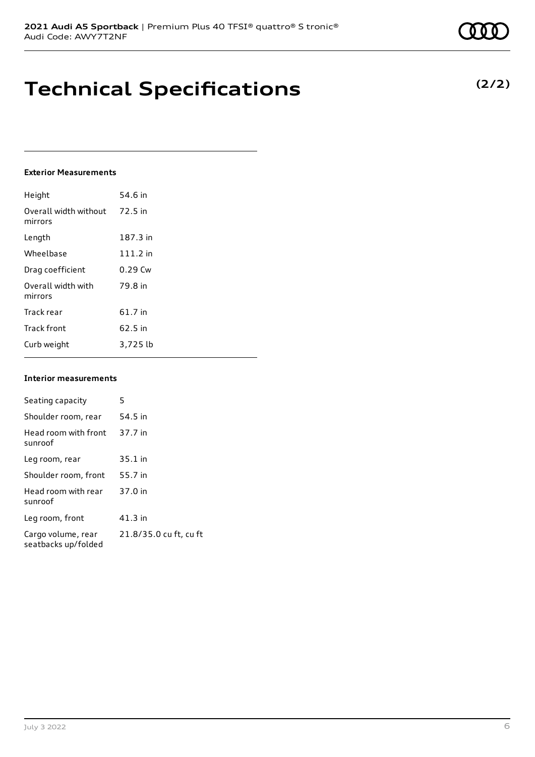## **Technical Specifications**

### **Exterior Measurements**

| Height                           | 54.6 in   |
|----------------------------------|-----------|
| Overall width without<br>mirrors | 72.5 in   |
| Length                           | 187.3 in  |
| Wheelbase                        | 111.2 in  |
| Drag coefficient                 | $0.29$ Cw |
| Overall width with<br>mirrors    | 79.8 in   |
| Track rear                       | 61.7 in   |
| <b>Track front</b>               | 62.5 in   |
| Curb weight                      | 3,725 lb  |

#### **Interior measurements**

| Seating capacity                          | 5                      |
|-------------------------------------------|------------------------|
| Shoulder room, rear                       | 54.5 in                |
| Head room with front<br>sunroof           | 37.7 in                |
| Leg room, rear                            | $35.1$ in              |
| Shoulder room, front                      | 55.7 in                |
| Head room with rear<br>sunroof            | 37.0 in                |
| Leg room, front                           | $41.3$ in              |
| Cargo volume, rear<br>seatbacks up/folded | 21.8/35.0 cu ft, cu ft |

## **(2/2)**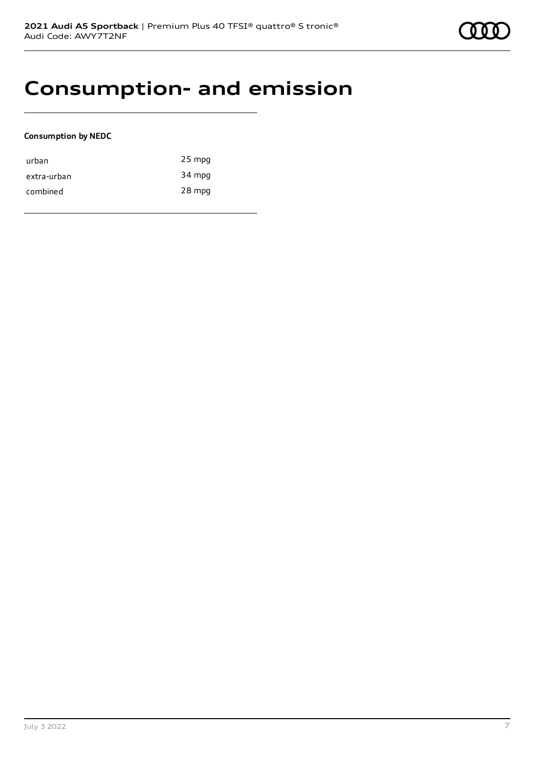## **Consumption- and emission**

### **Consumption by NEDC**

| urban       | $25$ mpg |
|-------------|----------|
| extra-urban | 34 mpg   |
| combined    | 28 mpg   |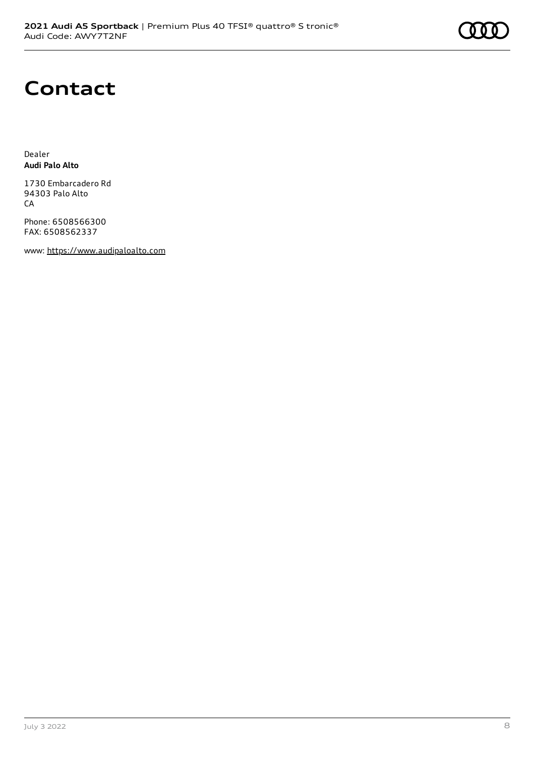## **Contact**

Dealer **Audi Palo Alto**

1730 Embarcadero Rd 94303 Palo Alto CA

Phone: 6508566300 FAX: 6508562337

www: [https://www.audipaloalto.com](https://www.audipaloalto.com/)